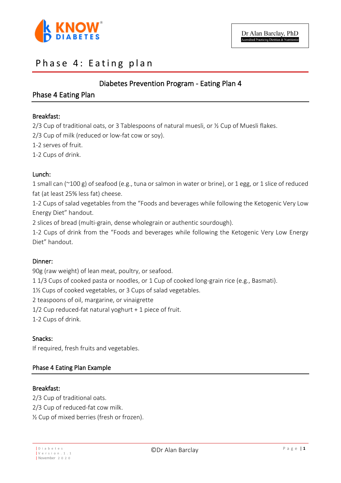

## Phase 4: Eating plan

## Diabetes Prevention Program - Eating Plan 4

## Phase 4 Eating Plan

#### Breakfast:

2/3 Cup of traditional oats, or 3 Tablespoons of natural muesli, or ½ Cup of Muesli flakes.

2/3 Cup of milk (reduced or low-fat cow or soy).

1-2 serves of fruit.

1-2 Cups of drink.

#### Lunch:

1 small can (~100 g) of seafood (e.g., tuna or salmon in water or brine), or 1 egg, or 1 slice of reduced fat (at least 25% less fat) cheese.

1-2 Cups of salad vegetables from the "Foods and beverages while following the Ketogenic Very Low Energy Diet" handout.

2 slices of bread (multi-grain, dense wholegrain or authentic sourdough).

1-2 Cups of drink from the "Foods and beverages while following the Ketogenic Very Low Energy Diet" handout.

#### Dinner:

90g (raw weight) of lean meat, poultry, or seafood.

1 1/3 Cups of cooked pasta or noodles, or 1 Cup of cooked long-grain rice (e.g., Basmati).

1½ Cups of cooked vegetables, or 3 Cups of salad vegetables.

2 teaspoons of oil, margarine, or vinaigrette

1/2 Cup reduced-fat natural yoghurt + 1 piece of fruit.

1-2 Cups of drink.

#### Snacks:

If required, fresh fruits and vegetables.

#### Phase 4 Eating Plan Example

#### Breakfast:

2/3 Cup of traditional oats. 2/3 Cup of reduced-fat cow milk. ½ Cup of mixed berries (fresh or frozen).